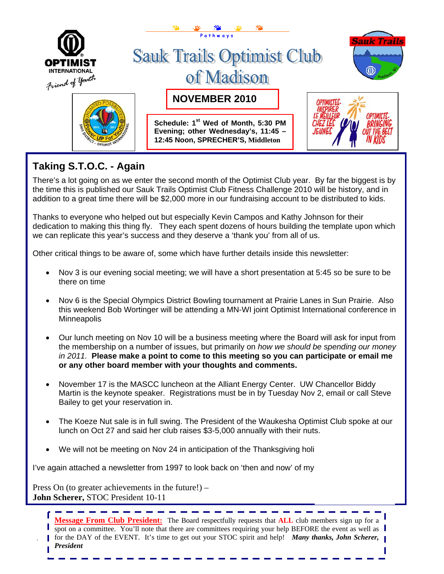

# **Taking S.T.O.C. - Again**

There's a lot going on as we enter the second month of the Optimist Club year. By far the biggest is by the time this is published our Sauk Trails Optimist Club Fitness Challenge 2010 will be history, and in addition to a great time there will be \$2,000 more in our fundraising account to be distributed to kids.

Thanks to everyone who helped out but especially Kevin Campos and Kathy Johnson for their dedication to making this thing fly. They each spent dozens of hours building the template upon which we can replicate this year's success and they deserve a 'thank you' from all of us.

Other critical things to be aware of, some which have further details inside this newsletter:

- Nov 3 is our evening social meeting; we will have a short presentation at 5:45 so be sure to be there on time
- Nov 6 is the Special Olympics District Bowling tournament at Prairie Lanes in Sun Prairie. Also this weekend Bob Wortinger will be attending a MN-WI joint Optimist International conference in **Minneapolis**
- Our lunch meeting on Nov 10 will be a business meeting where the Board will ask for input from the membership on a number of issues, but primarily on *how we should be spending our money in 2011.* **Please make a point to come to this meeting so you can participate or email me or any other board member with your thoughts and comments.**
- November 17 is the MASCC luncheon at the Alliant Energy Center. UW Chancellor Biddy Martin is the keynote speaker. Registrations must be in by Tuesday Nov 2, email or call Steve Bailey to get your reservation in.
- The Koeze Nut sale is in full swing. The President of the Waukesha Optimist Club spoke at our lunch on Oct 27 and said her club raises \$3-5,000 annually with their nuts.
- We will not be meeting on Nov 24 in anticipation of the Thanksgiving holi

I've again attached a newsletter from 1997 to look back on 'then and now' of my

Press On (to greater achievements in the future!) – **John Scherer,** STOC President 10-11

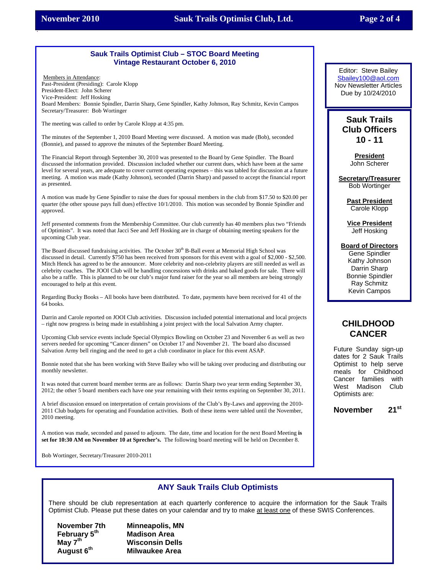.

#### **Sauk Trails Optimist Club – STOC Board Meeting Vintage Restaurant October 6, 2010**

Members in Attendance: Past-President (Presiding): Carole Klopp President-Elect: John Scherer Vice-President: Jeff Hosking Board Members: Bonnie Spindler, Darrin Sharp, Gene Spindler, Kathy Johnson, Ray Schmitz, Kevin Campos Secretary/Treasurer: Bob Wortinger

The meeting was called to order by Carole Klopp at 4:35 pm.

The minutes of the September 1, 2010 Board Meeting were discussed. A motion was made (Bob), seconded (Bonnie), and passed to approve the minutes of the September Board Meeting.

The Financial Report through September 30, 2010 was presented to the Board by Gene Spindler. The Board discussed the information provided. Discussion included whether our current dues, which have been at the same level for several years, are adequate to cover current operating expenses – this was tabled for discussion at a future meeting. A motion was made (Kathy Johnson), seconded (Darrin Sharp) and passed to accept the financial report as presented.

A motion was made by Gene Spindler to raise the dues for spousal members in the club from \$17.50 to \$20.00 per quarter (the other spouse pays full dues) effective 10/1/2010. This motion was seconded by Bonnie Spindler and approved.

Jeff presented comments from the Membership Committee. Our club currently has 40 members plus two "Friends of Optimists". It was noted that Jacci See and Jeff Hosking are in charge of obtaining meeting speakers for the upcoming Club year.

The Board discussed fundraising activities. The October 30<sup>th</sup> B-Ball event at Memorial High School was discussed in detail. Currently \$750 has been received from sponsors for this event with a goal of \$2,000 - \$2,500. Mitch Henck has agreed to be the announcer. More celebrity and non-celebrity players are still needed as well as celebrity coaches. The JOOI Club will be handling concessions with drinks and baked goods for sale. There will also be a raffle. This is planned to be our club's major fund raiser for the year so all members are being strongly encouraged to help at this event.

Regarding Bucky Books – All books have been distributed. To date, payments have been received for 41 of the 64 books.

Darrin and Carole reported on JOOI Club activities. Discussion included potential international and local projects – right now progress is being made in establishing a joint project with the local Salvation Army chapter.

Upcoming Club service events include Special Olympics Bowling on October 23 and November 6 as well as two servers needed for upcoming "Cancer dinners" on October 17 and November 21. The board also discussed Salvation Army bell ringing and the need to get a club coordinator in place for this event ASAP.

Bonnie noted that she has been working with Steve Bailey who will be taking over producing and distributing our monthly newsletter.

**The Optimist Creed**  2012; the other 5 board members each have one year remaining with their terms expiring on September 30, 2011. It was noted that current board member terms are as follows: Darrin Sharp two year term ending September 30,

A brief discussion ensued on interpretation of certain provisions of the Club's By-Laws and approving the 2010- 2011 Club budgets for operating and Foundation activities. Both of these items were tabled until the November, 2010 meeting.

A motion was made, seconded and passed to adjourn. The date, time and location for the next Board Meeting **is set for 10:30 AM on November 10 at Sprecher's.** The following board meeting will be held on December 8.

Bob Wortinger, Secretary/Treasurer 2010-2011

#### Editor: Steve Bailey Sbailey100@aol.com Nov Newsletter Articles Due by 10/24/2010

# **Sauk Trails Club Officers 10 - 11**

**President** John Scherer

**Secretary/Treasurer** Bob Wortinger

> **Past President** Carole Klopp

**Vice President** Jeff Hosking

**Board of Directors** Gene Spindler Kathy Johnson Darrin Sharp Bonnie Spindler Ray Schmitz Kevin Campos

# **CHILDHOOD CANCER**

Future Sunday sign-up dates for 2 Sauk Trails Optimist to help serve meals for Childhood Cancer families with West Madison Club Optimists are:

**November 21st**

# **ANY Sauk Trails Club Optimists**

There should be club representation at each quarterly conference to acquire the information for the Sauk Trails Optimist Club. Please put these dates on your calendar and try to make at least one of these SWIS Conferences.

**November 7th Minneapolis, MN February 5th Madison Area May 7th Wisconsin Dells Milwaukee Area**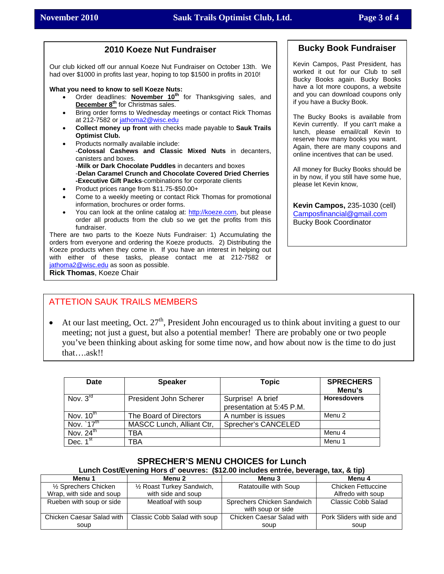### **2010 Koeze Nut Fundraiser**  Our club kicked off our annual Koeze Nut Fundraiser on October 13th. We had over \$1000 in profits last year, hoping to top \$1500 in profits in 2010! **What you need to know to sell Koeze Nuts:** Order deadlines: **November 10<sup>th</sup>** for Thanksgiving sales, and **December 8th** for Christmas sales. **Bring order forms to Wednesday meetings or contact Rick Thomas** at 212-7582 or jathoma2@wisc.edu • **Collect money up front** with checks made payable to **Sauk Trails Optimist Club.**  • Products normally available include: -**Colossal Cashews and Classic Mixed Nuts** in decanters, canisters and boxes. -**Milk or Dark Chocolate Puddles** in decanters and boxes -**Delan Caramel Crunch and Chocolate Covered Dried Cherries -Executive Gift Packs**-combinations for corporate clients • Product prices range from \$11.75-\$50.00+ • Come to a weekly meeting or contact Rick Thomas for promotional information, brochures or order forms. • You can look at the online catalog at: http://koeze.com, but please order all products from the club so we get the profits from this fundraiser. There are two parts to the Koeze Nuts Fundraiser: 1) Accumulating the orders from everyone and ordering the Koeze products. 2) Distributing the Koeze products when they come in. If you have an interest in helping out with either of these tasks, please contact me at 212-7582 or jathoma2@wisc.edu as soon as possible. **Rick Thomas**, Koeze Chair

# **Bucky Book Fundraiser**

Kevin Campos, Past President, has worked it out for our Club to sell Bucky Books again. Bucky Books have a lot more coupons, a website and you can download coupons only if you have a Bucky Book.

The Bucky Books is available from Kevin currently. If you can't make a lunch, please email/call Kevin to reserve how many books you want. Again, there are many coupons and online incentives that can be used.

All money for Bucky Books should be in by now, if you still have some hue, please let Kevin know,

**Kevin Campos,** 235-1030 (cell) Camposfinancial@gmail.com Bucky Book Coordinator

# ATTETION SAUK TRAILS MEMBERS

• At our last meeting, Oct.  $27<sup>th</sup>$ , President John encouraged us to think about inviting a guest to our meeting; not just a guest, but also a potential member! There are probably one or two people you've been thinking about asking for some time now, and how about now is the time to do just that….ask!!

| Date                  | <b>Speaker</b>            | <b>Topic</b>                                   | <b>SPRECHERS</b><br>Menu's |
|-----------------------|---------------------------|------------------------------------------------|----------------------------|
| Nov. $3^{\text{rd}}$  | President John Scherer    | Surprise! A brief<br>presentation at 5:45 P.M. | <b>Horesdovers</b>         |
| Nov. $10^{th}$        | The Board of Directors    | A number is issues                             | Menu 2                     |
| Nov. $17^{\text{th}}$ | MASCC Lunch, Alliant Ctr, | Sprecher's CANCELED                            |                            |
| Nov. $24^{\text{th}}$ | ТВА                       |                                                | Menu 4                     |
| Dec. $1st$            | TBA                       |                                                | Menu 1                     |

#### **Lunch Cost/Evening Hors d' oeuvres: (\$12.00 includes entrée, beverage, tax, & tip) Menu 1 Menu 2 Menu 3 Menu 4** ½ Sprechers Chicken Wrap, with side and soup ½ Roast Turkey Sandwich, with side and soup Ratatouille with Soup | Chicken Fettuccine Alfredo with soup Rueben with soup or side Meatloaf with soup Sprechers Chicken Sandwich with soup or side Classic Cobb Salad Chicken Caesar Salad with soup Classic Cobb Salad with soup | Chicken Caesar Salad with soup Pork Sliders with side and soup

# **SPRECHER'S MENU CHOICES for Lunch**